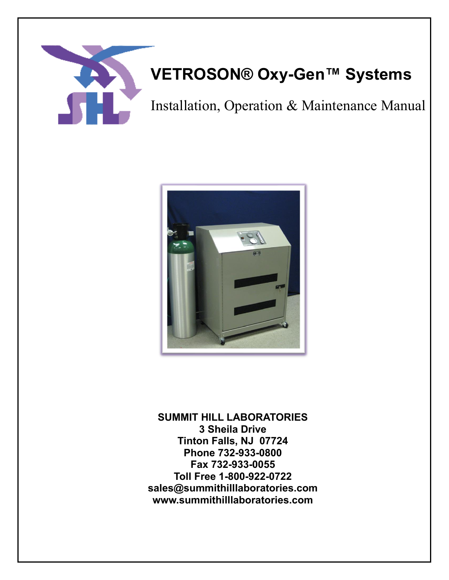



**SUMMIT HILL LABORATORIES 3 Sheila Drive Tinton Falls, NJ 07724 Phone 732-933-0800 Fax 732-933-0055 Toll Free 1-800-922-0722 sales@summithilllaboratories.com www.summithilllaboratories.com**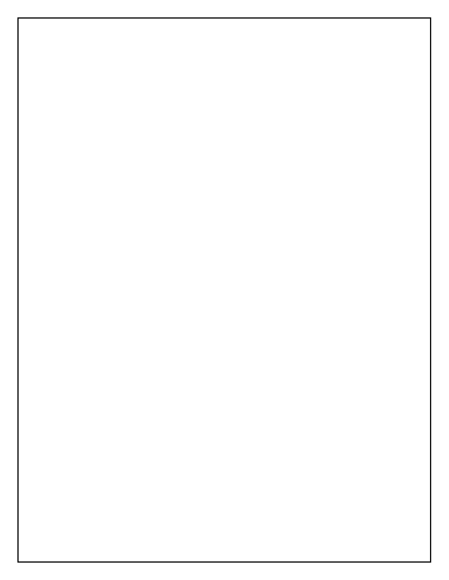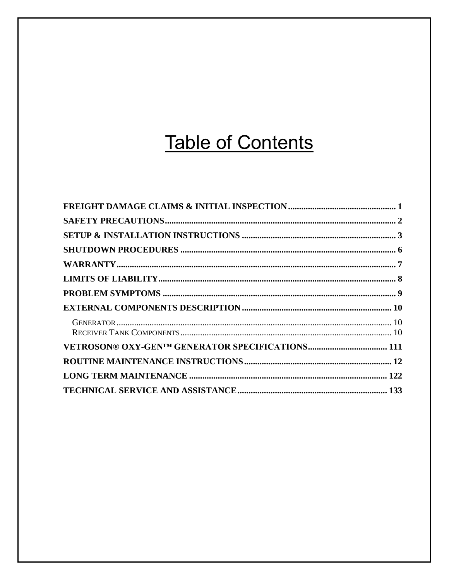# **Table of Contents**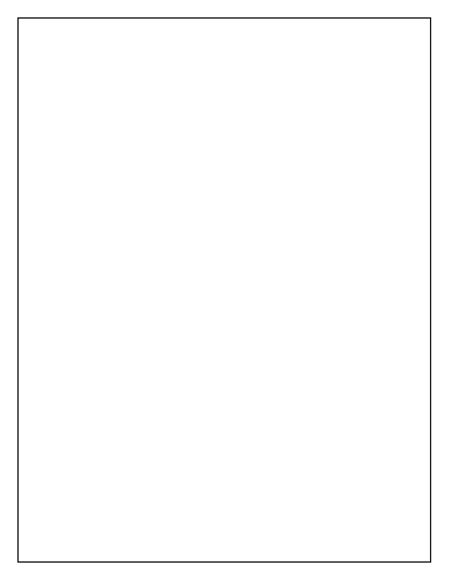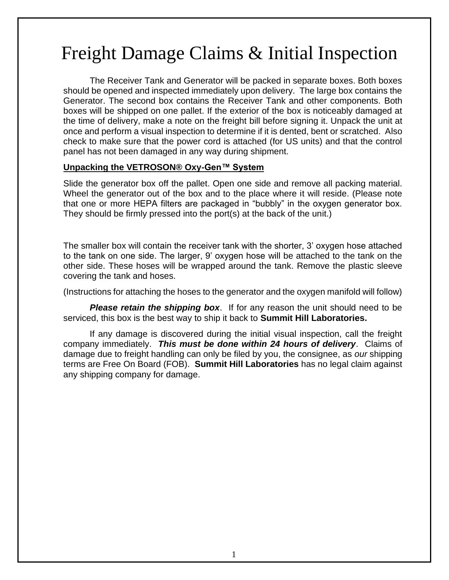### <span id="page-4-0"></span>Freight Damage Claims & Initial Inspection

The Receiver Tank and Generator will be packed in separate boxes. Both boxes should be opened and inspected immediately upon delivery. The large box contains the Generator. The second box contains the Receiver Tank and other components. Both boxes will be shipped on one pallet. If the exterior of the box is noticeably damaged at the time of delivery, make a note on the freight bill before signing it. Unpack the unit at once and perform a visual inspection to determine if it is dented, bent or scratched. Also check to make sure that the power cord is attached (for US units) and that the control panel has not been damaged in any way during shipment.

#### **Unpacking the VETROSON® Oxy-Gen™ System**

Slide the generator box off the pallet. Open one side and remove all packing material. Wheel the generator out of the box and to the place where it will reside. (Please note that one or more HEPA filters are packaged in "bubbly" in the oxygen generator box. They should be firmly pressed into the port(s) at the back of the unit.)

The smaller box will contain the receiver tank with the shorter, 3' oxygen hose attached to the tank on one side. The larger, 9' oxygen hose will be attached to the tank on the other side. These hoses will be wrapped around the tank. Remove the plastic sleeve covering the tank and hoses.

(Instructions for attaching the hoses to the generator and the oxygen manifold will follow)

*Please retain the shipping box*. If for any reason the unit should need to be serviced, this box is the best way to ship it back to **Summit Hill Laboratories.**

If any damage is discovered during the initial visual inspection, call the freight company immediately. *This must be done within 24 hours of delivery*. Claims of damage due to freight handling can only be filed by you, the consignee, as *our* shipping terms are Free On Board (FOB). **Summit Hill Laboratories** has no legal claim against any shipping company for damage.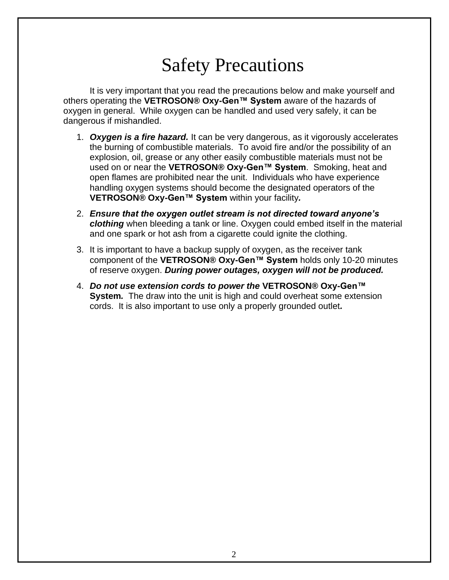## Safety Precautions

<span id="page-5-0"></span>It is very important that you read the precautions below and make yourself and others operating the **VETROSON® Oxy-Gen™ System** aware of the hazards of oxygen in general. While oxygen can be handled and used very safely, it can be dangerous if mishandled.

- 1. *Oxygen is a fire hazard.* It can be very dangerous, as it vigorously accelerates the burning of combustible materials. To avoid fire and/or the possibility of an explosion, oil, grease or any other easily combustible materials must not be used on or near the **VETROSON® Oxy-Gen™ System**. Smoking, heat and open flames are prohibited near the unit. Individuals who have experience handling oxygen systems should become the designated operators of the **VETROSON® Oxy-Gen™ System** within your facility*.*
- 2. *Ensure that the oxygen outlet stream is not directed toward anyone's clothing* when bleeding a tank or line. Oxygen could embed itself in the material and one spark or hot ash from a cigarette could ignite the clothing.
- 3. It is important to have a backup supply of oxygen, as the receiver tank component of the **VETROSON® Oxy-Gen™ System** holds only 10-20 minutes of reserve oxygen. *During power outages, oxygen will not be produced.*
- 4. *Do not use extension cords to power the* **VETROSON® Oxy-Gen™ System***.* The draw into the unit is high and could overheat some extension cords. It is also important to use only a properly grounded outlet*.*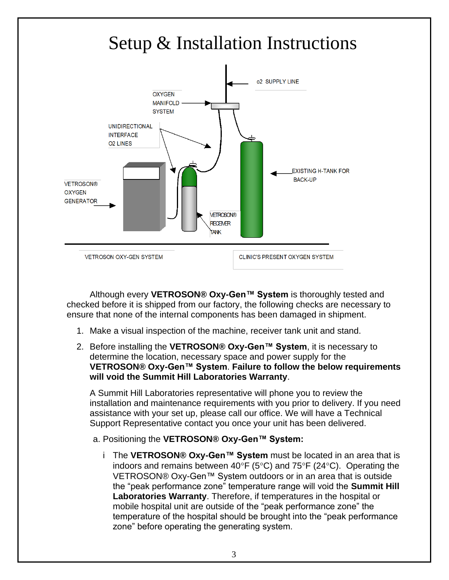<span id="page-6-0"></span>

Although every **VETROSON® Oxy-Gen™ System** is thoroughly tested and checked before it is shipped from our factory, the following checks are necessary to ensure that none of the internal components has been damaged in shipment.

- 1. Make a visual inspection of the machine, receiver tank unit and stand.
- 2. Before installing the **VETROSON® Oxy-Gen™ System**, it is necessary to determine the location, necessary space and power supply for the **VETROSON® Oxy-Gen™ System**. **Failure to follow the below requirements will void the Summit Hill Laboratories Warranty**.

A Summit Hill Laboratories representative will phone you to review the installation and maintenance requirements with you prior to delivery. If you need assistance with your set up, please call our office. We will have a Technical Support Representative contact you once your unit has been delivered.

- a. Positioning the **VETROSON® Oxy-Gen™ System:**
	- i The **VETROSON® Oxy-Gen™ System** must be located in an area that is indoors and remains between 40°F (5°C) and 75°F (24°C). Operating the VETROSON® Oxy-Gen™ System outdoors or in an area that is outside the "peak performance zone" temperature range will void the **Summit Hill Laboratories Warranty**. Therefore, if temperatures in the hospital or mobile hospital unit are outside of the "peak performance zone" the temperature of the hospital should be brought into the "peak performance zone" before operating the generating system.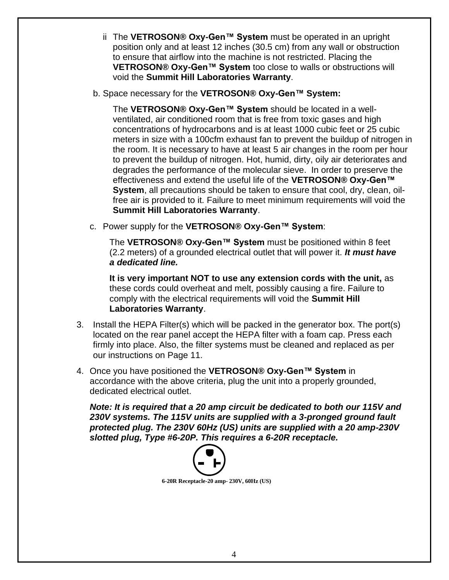- ii The **VETROSON® Oxy-Gen™ System** must be operated in an upright position only and at least 12 inches (30.5 cm) from any wall or obstruction to ensure that airflow into the machine is not restricted. Placing the **VETROSON® Oxy-Gen™ System** too close to walls or obstructions will void the **Summit Hill Laboratories Warranty**.
- b. Space necessary for the **VETROSON® Oxy-Gen™ System:**

The **VETROSON® Oxy-Gen™ System** should be located in a wellventilated, air conditioned room that is free from toxic gases and high concentrations of hydrocarbons and is at least 1000 cubic feet or 25 cubic meters in size with a 100cfm exhaust fan to prevent the buildup of nitrogen in the room. It is necessary to have at least 5 air changes in the room per hour to prevent the buildup of nitrogen. Hot, humid, dirty, oily air deteriorates and degrades the performance of the molecular sieve. In order to preserve the effectiveness and extend the useful life of the **VETROSON® Oxy-Gen™ System**, all precautions should be taken to ensure that cool, dry, clean, oilfree air is provided to it. Failure to meet minimum requirements will void the **Summit Hill Laboratories Warranty**.

c. Power supply for the **VETROSON® Oxy-Gen™ System**:

The **VETROSON® Oxy-Gen™ System** must be positioned within 8 feet (2.2 meters) of a grounded electrical outlet that will power it. *It must have a dedicated line.* 

**It is very important NOT to use any extension cords with the unit,** as these cords could overheat and melt, possibly causing a fire. Failure to comply with the electrical requirements will void the **Summit Hill Laboratories Warranty**.

- 3. Install the HEPA Filter(s) which will be packed in the generator box. The port(s) located on the rear panel accept the HEPA filter with a foam cap. Press each firmly into place. Also, the filter systems must be cleaned and replaced as per our instructions on Page 11.
- 4. Once you have positioned the **VETROSON® Oxy-Gen™ System** in accordance with the above criteria, plug the unit into a properly grounded, dedicated electrical outlet.

*Note: It is required that a 20 amp circuit be dedicated to both our 115V and 230V systems. The 115V units are supplied with a 3-pronged ground fault protected plug. The 230V 60Hz (US) units are supplied with a 20 amp-230V slotted plug, Type #6-20P. This requires a 6-20R receptacle.*

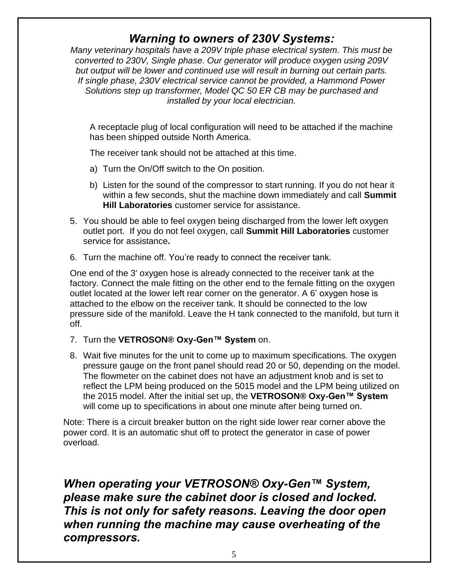### *Warning to owners of 230V Systems:*

*Many veterinary hospitals have a 209V triple phase electrical system. This must be converted to 230V, Single phase. Our generator will produce oxygen using 209V but output will be lower and continued use will result in burning out certain parts. If single phase, 230V electrical service cannot be provided, a Hammond Power Solutions step up transformer, Model QC 50 ER CB may be purchased and installed by your local electrician.*

A receptacle plug of local configuration will need to be attached if the machine has been shipped outside North America.

The receiver tank should not be attached at this time.

- a) Turn the On/Off switch to the On position.
- b) Listen for the sound of the compressor to start running. If you do not hear it within a few seconds, shut the machine down immediately and call **Summit Hill Laboratories** customer service for assistance.
- 5. You should be able to feel oxygen being discharged from the lower left oxygen outlet port. If you do not feel oxygen, call **Summit Hill Laboratories** customer service for assistance**.**
- 6. Turn the machine off. You're ready to connect the receiver tank.

One end of the 3' oxygen hose is already connected to the receiver tank at the factory. Connect the male fitting on the other end to the female fitting on the oxygen outlet located at the lower left rear corner on the generator. A 6' oxygen hose is attached to the elbow on the receiver tank. It should be connected to the low pressure side of the manifold. Leave the H tank connected to the manifold, but turn it off.

- 7. Turn the **VETROSON® Oxy-Gen™ System** on.
- 8. Wait five minutes for the unit to come up to maximum specifications. The oxygen pressure gauge on the front panel should read 20 or 50, depending on the model. The flowmeter on the cabinet does not have an adjustment knob and is set to reflect the LPM being produced on the 5015 model and the LPM being utilized on the 2015 model. After the initial set up, the **VETROSON® Oxy-Gen™ System**  will come up to specifications in about one minute after being turned on.

Note: There is a circuit breaker button on the right side lower rear corner above the power cord. It is an automatic shut off to protect the generator in case of power overload.

*When operating your VETROSON® Oxy-Gen™ System, please make sure the cabinet door is closed and locked. This is not only for safety reasons. Leaving the door open when running the machine may cause overheating of the compressors.*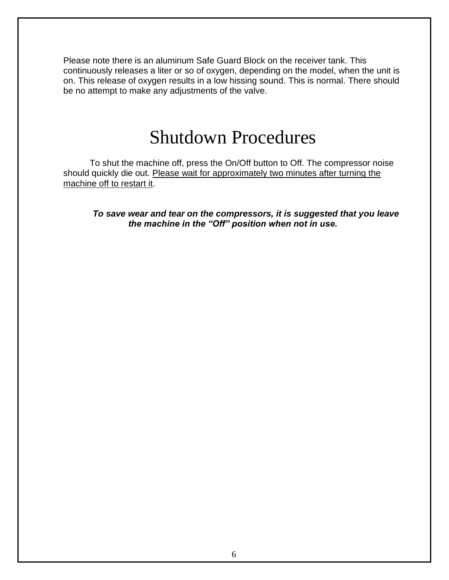Please note there is an aluminum Safe Guard Block on the receiver tank. This continuously releases a liter or so of oxygen, depending on the model, when the unit is on. This release of oxygen results in a low hissing sound. This is normal. There should be no attempt to make any adjustments of the valve.

### Shutdown Procedures

<span id="page-9-0"></span>To shut the machine off, press the On/Off button to Off. The compressor noise should quickly die out. Please wait for approximately two minutes after turning the machine off to restart it.

*To save wear and tear on the compressors, it is suggested that you leave the machine in the "Off" position when not in use.*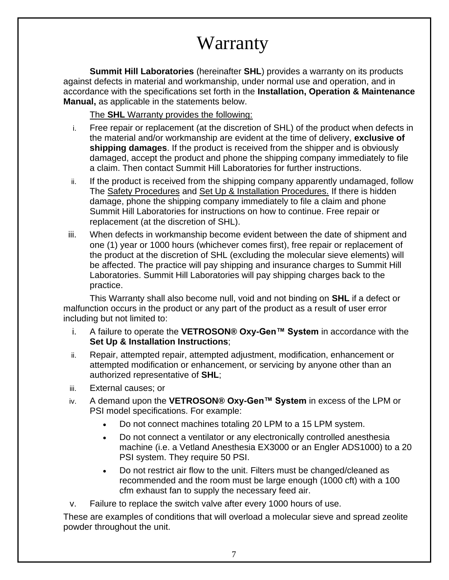## **Warranty**

<span id="page-10-0"></span>**Summit Hill Laboratories** (hereinafter **SHL**) provides a warranty on its products against defects in material and workmanship, under normal use and operation, and in accordance with the specifications set forth in the **Installation, Operation & Maintenance Manual,** as applicable in the statements below.

The **SHL** Warranty provides the following:

- i. Free repair or replacement (at the discretion of SHL) of the product when defects in the material and/or workmanship are evident at the time of delivery, **exclusive of shipping damages**. If the product is received from the shipper and is obviously damaged, accept the product and phone the shipping company immediately to file a claim. Then contact Summit Hill Laboratories for further instructions.
- ii. If the product is received from the shipping company apparently undamaged, follow The Safety Procedures and Set Up & Installation Procedures. If there is hidden damage, phone the shipping company immediately to file a claim and phone Summit Hill Laboratories for instructions on how to continue. Free repair or replacement (at the discretion of SHL).
- iii. When defects in workmanship become evident between the date of shipment and one (1) year or 1000 hours (whichever comes first), free repair or replacement of the product at the discretion of SHL (excluding the molecular sieve elements) will be affected. The practice will pay shipping and insurance charges to Summit Hill Laboratories. Summit Hill Laboratories will pay shipping charges back to the practice.

This Warranty shall also become null, void and not binding on **SHL** if a defect or malfunction occurs in the product or any part of the product as a result of user error including but not limited to:

- i. A failure to operate the **VETROSON® Oxy-Gen™ System** in accordance with the **Set Up & Installation Instructions**;
- ii. Repair, attempted repair, attempted adjustment, modification, enhancement or attempted modification or enhancement, or servicing by anyone other than an authorized representative of **SHL**;
- iii. External causes; or
- iv. A demand upon the **VETROSON® Oxy-Gen™ System** in excess of the LPM or PSI model specifications. For example:
	- Do not connect machines totaling 20 LPM to a 15 LPM system.
	- Do not connect a ventilator or any electronically controlled anesthesia machine (i.e. a Vetland Anesthesia EX3000 or an Engler ADS1000) to a 20 PSI system. They require 50 PSI.
	- Do not restrict air flow to the unit. Filters must be changed/cleaned as recommended and the room must be large enough (1000 cft) with a 100 cfm exhaust fan to supply the necessary feed air.

v. Failure to replace the switch valve after every 1000 hours of use.

These are examples of conditions that will overload a molecular sieve and spread zeolite powder throughout the unit.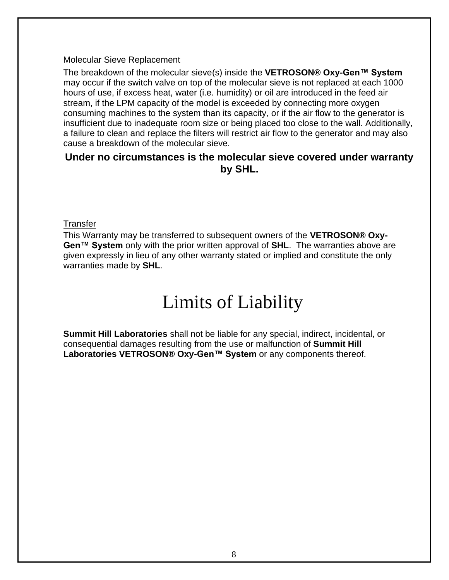#### Molecular Sieve Replacement

The breakdown of the molecular sieve(s) inside the **VETROSON® Oxy-Gen™ System** may occur if the switch valve on top of the molecular sieve is not replaced at each 1000 hours of use, if excess heat, water (i.e. humidity) or oil are introduced in the feed air stream, if the LPM capacity of the model is exceeded by connecting more oxygen consuming machines to the system than its capacity, or if the air flow to the generator is insufficient due to inadequate room size or being placed too close to the wall. Additionally, a failure to clean and replace the filters will restrict air flow to the generator and may also cause a breakdown of the molecular sieve.

### **Under no circumstances is the molecular sieve covered under warranty by SHL.**

### **Transfer**

This Warranty may be transferred to subsequent owners of the **VETROSON® Oxy-Gen™ System** only with the prior written approval of **SHL**. The warranties above are given expressly in lieu of any other warranty stated or implied and constitute the only warranties made by **SHL**.

## Limits of Liability

<span id="page-11-0"></span>**Summit Hill Laboratories** shall not be liable for any special, indirect, incidental, or consequential damages resulting from the use or malfunction of **Summit Hill Laboratories VETROSON® Oxy-Gen™ System** or any components thereof.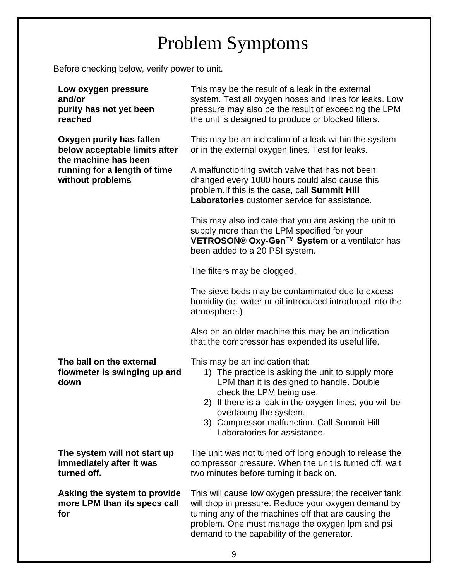# Problem Symptoms

<span id="page-12-0"></span>Before checking below, verify power to unit.

| Low oxygen pressure<br>and/or<br>purity has not yet been<br>reached                                                                   | This may be the result of a leak in the external<br>system. Test all oxygen hoses and lines for leaks. Low<br>pressure may also be the result of exceeding the LPM<br>the unit is designed to produce or blocked filters.                                                                                                        |  |  |  |  |
|---------------------------------------------------------------------------------------------------------------------------------------|----------------------------------------------------------------------------------------------------------------------------------------------------------------------------------------------------------------------------------------------------------------------------------------------------------------------------------|--|--|--|--|
| Oxygen purity has fallen<br>below acceptable limits after<br>the machine has been<br>running for a length of time<br>without problems | This may be an indication of a leak within the system<br>or in the external oxygen lines. Test for leaks.                                                                                                                                                                                                                        |  |  |  |  |
|                                                                                                                                       | A malfunctioning switch valve that has not been<br>changed every 1000 hours could also cause this<br>problem. If this is the case, call Summit Hill<br>Laboratories customer service for assistance.                                                                                                                             |  |  |  |  |
|                                                                                                                                       | This may also indicate that you are asking the unit to<br>supply more than the LPM specified for your<br>VETROSON® Oxy-Gen™ System or a ventilator has<br>been added to a 20 PSI system.                                                                                                                                         |  |  |  |  |
|                                                                                                                                       | The filters may be clogged.                                                                                                                                                                                                                                                                                                      |  |  |  |  |
|                                                                                                                                       | The sieve beds may be contaminated due to excess<br>humidity (ie: water or oil introduced introduced into the<br>atmosphere.)                                                                                                                                                                                                    |  |  |  |  |
|                                                                                                                                       | Also on an older machine this may be an indication<br>that the compressor has expended its useful life.                                                                                                                                                                                                                          |  |  |  |  |
| The ball on the external<br>flowmeter is swinging up and<br>down                                                                      | This may be an indication that:<br>1) The practice is asking the unit to supply more<br>LPM than it is designed to handle. Double<br>check the LPM being use.<br>2) If there is a leak in the oxygen lines, you will be<br>overtaxing the system.<br>3) Compressor malfunction. Call Summit Hill<br>Laboratories for assistance. |  |  |  |  |
| The system will not start up<br>immediately after it was<br>turned off.                                                               | The unit was not turned off long enough to release the<br>compressor pressure. When the unit is turned off, wait<br>two minutes before turning it back on.                                                                                                                                                                       |  |  |  |  |
| Asking the system to provide<br>more LPM than its specs call<br>for                                                                   | This will cause low oxygen pressure; the receiver tank<br>will drop in pressure. Reduce your oxygen demand by<br>turning any of the machines off that are causing the<br>problem. One must manage the oxygen Ipm and psi<br>demand to the capability of the generator.                                                           |  |  |  |  |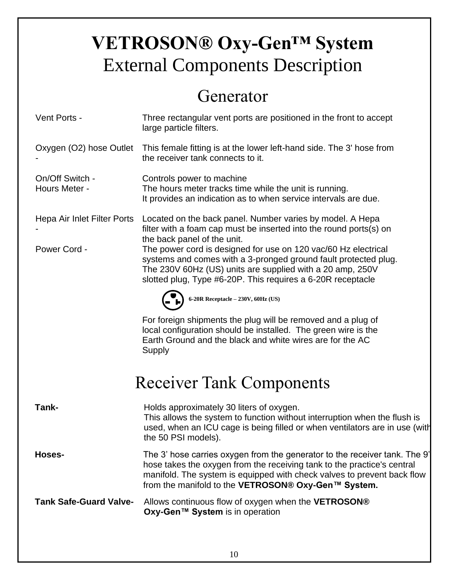# <span id="page-13-0"></span>**VETROSON® Oxy-Gen™ System** External Components Description

### Generator

<span id="page-13-2"></span><span id="page-13-1"></span>

| Vent Ports -                     | Three rectangular vent ports are positioned in the front to accept<br>large particle filters.                                                                                                                                                                                           |  |  |  |  |  |  |  |
|----------------------------------|-----------------------------------------------------------------------------------------------------------------------------------------------------------------------------------------------------------------------------------------------------------------------------------------|--|--|--|--|--|--|--|
| Oxygen (O2) hose Outlet          | This female fitting is at the lower left-hand side. The 3' hose from<br>the receiver tank connects to it.                                                                                                                                                                               |  |  |  |  |  |  |  |
| On/Off Switch -<br>Hours Meter - | Controls power to machine<br>The hours meter tracks time while the unit is running.<br>It provides an indication as to when service intervals are due.                                                                                                                                  |  |  |  |  |  |  |  |
| Hepa Air Inlet Filter Ports      | Located on the back panel. Number varies by model. A Hepa<br>filter with a foam cap must be inserted into the round ports(s) on<br>the back panel of the unit.                                                                                                                          |  |  |  |  |  |  |  |
| Power Cord -                     | The power cord is designed for use on 120 vac/60 Hz electrical<br>systems and comes with a 3-pronged ground fault protected plug.<br>The 230V 60Hz (US) units are supplied with a 20 amp, 250V<br>slotted plug, Type #6-20P. This requires a 6-20R receptacle                           |  |  |  |  |  |  |  |
|                                  | 6-20R Receptacle - 230V, 60Hz (US)                                                                                                                                                                                                                                                      |  |  |  |  |  |  |  |
|                                  | For foreign shipments the plug will be removed and a plug of<br>local configuration should be installed. The green wire is the<br>Earth Ground and the black and white wires are for the AC<br>Supply                                                                                   |  |  |  |  |  |  |  |
| <b>Receiver Tank Components</b>  |                                                                                                                                                                                                                                                                                         |  |  |  |  |  |  |  |
| Tank-                            | Holds approximately 30 liters of oxygen.<br>This allows the system to function without interruption when the flush is<br>used, when an ICU cage is being filled or when ventilators are in use (with<br>the 50 PSI models).                                                             |  |  |  |  |  |  |  |
| Hoses-                           | The 3' hose carries oxygen from the generator to the receiver tank. The 9'<br>hose takes the oxygen from the receiving tank to the practice's central<br>manifold. The system is equipped with check valves to prevent back flow<br>from the manifold to the VETROSON® Oxy-Gen™ System. |  |  |  |  |  |  |  |
| <b>Tank Safe-Guard Valve-</b>    | Allows continuous flow of oxygen when the VETROSON®<br>Oxy-Gen™ System is in operation                                                                                                                                                                                                  |  |  |  |  |  |  |  |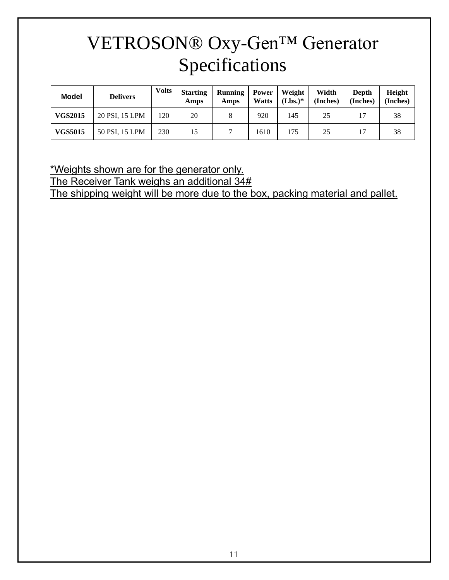## <span id="page-14-0"></span>VETROSON® Oxy-Gen™ Generator Specifications

| <b>Model</b>   | <b>Delivers</b> | <b>Volts</b> | <b>Starting</b><br>Amps | <b>Running</b><br>Amps | Power<br><b>Watts</b> | Weight<br>$(Lbs.)^*$ | Width<br>(Inches) | Depth<br>(Inches) | Height<br>(Inches) |
|----------------|-----------------|--------------|-------------------------|------------------------|-----------------------|----------------------|-------------------|-------------------|--------------------|
| <b>VGS2015</b> | 20 PSI, 15 LPM  | 120          | 20                      |                        | 920                   | 145                  | 25                |                   | 38                 |
| <b>VGS5015</b> | 50 PSI, 15 LPM  | 230          | 15                      |                        | 1610                  | 175                  | 25                | 17                | 38                 |

\*Weights shown are for the generator only. The Receiver Tank weighs an additional 34# The shipping weight will be more due to the box, packing material and pallet.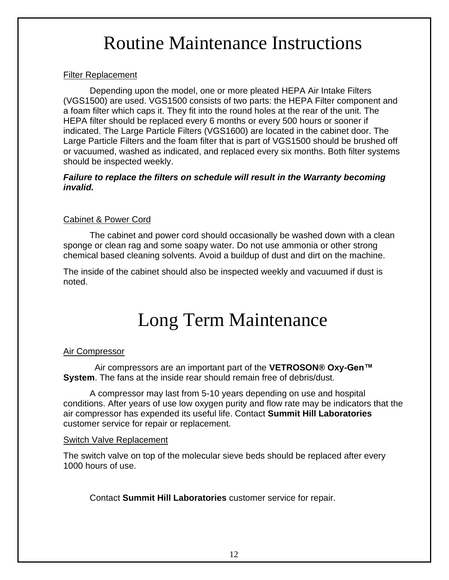### Routine Maintenance Instructions

### <span id="page-15-0"></span>Filter Replacement

Depending upon the model, one or more pleated HEPA Air Intake Filters (VGS1500) are used. VGS1500 consists of two parts: the HEPA Filter component and a foam filter which caps it. They fit into the round holes at the rear of the unit. The HEPA filter should be replaced every 6 months or every 500 hours or sooner if indicated. The Large Particle Filters (VGS1600) are located in the cabinet door. The Large Particle Filters and the foam filter that is part of VGS1500 should be brushed off or vacuumed, washed as indicated, and replaced every six months. Both filter systems should be inspected weekly.

#### *Failure to replace the filters on schedule will result in the Warranty becoming invalid.*

#### Cabinet & Power Cord

The cabinet and power cord should occasionally be washed down with a clean sponge or clean rag and some soapy water. Do not use ammonia or other strong chemical based cleaning solvents. Avoid a buildup of dust and dirt on the machine.

The inside of the cabinet should also be inspected weekly and vacuumed if dust is noted.

### Long Term Maintenance

#### <span id="page-15-1"></span>Air Compressor

 Air compressors are an important part of the **VETROSON® Oxy-Gen™ System**. The fans at the inside rear should remain free of debris/dust.

A compressor may last from 5-10 years depending on use and hospital conditions. After years of use low oxygen purity and flow rate may be indicators that the air compressor has expended its useful life. Contact **Summit Hill Laboratories** customer service for repair or replacement.

#### Switch Valve Replacement

The switch valve on top of the molecular sieve beds should be replaced after every 1000 hours of use.

Contact **Summit Hill Laboratories** customer service for repair.